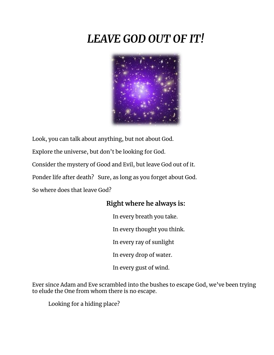## *LEAVE GOD OUT OF IT!*



Look, you can talk about anything, but not about God.

Explore the universe, but don't be looking for God.

Consider the mystery of Good and Evil, but leave God out of it.

Ponder life after death? Sure, as long as you forget about God.

So where does that leave God?

## **Right where he always is:**

In every breath you take. In every thought you think. In every ray of sunlight In every drop of water. In every gust of wind.

Ever since Adam and Eve scrambled into the bushes to escape God, we've been trying to elude the One from whom there is no escape.

Looking for a hiding place?